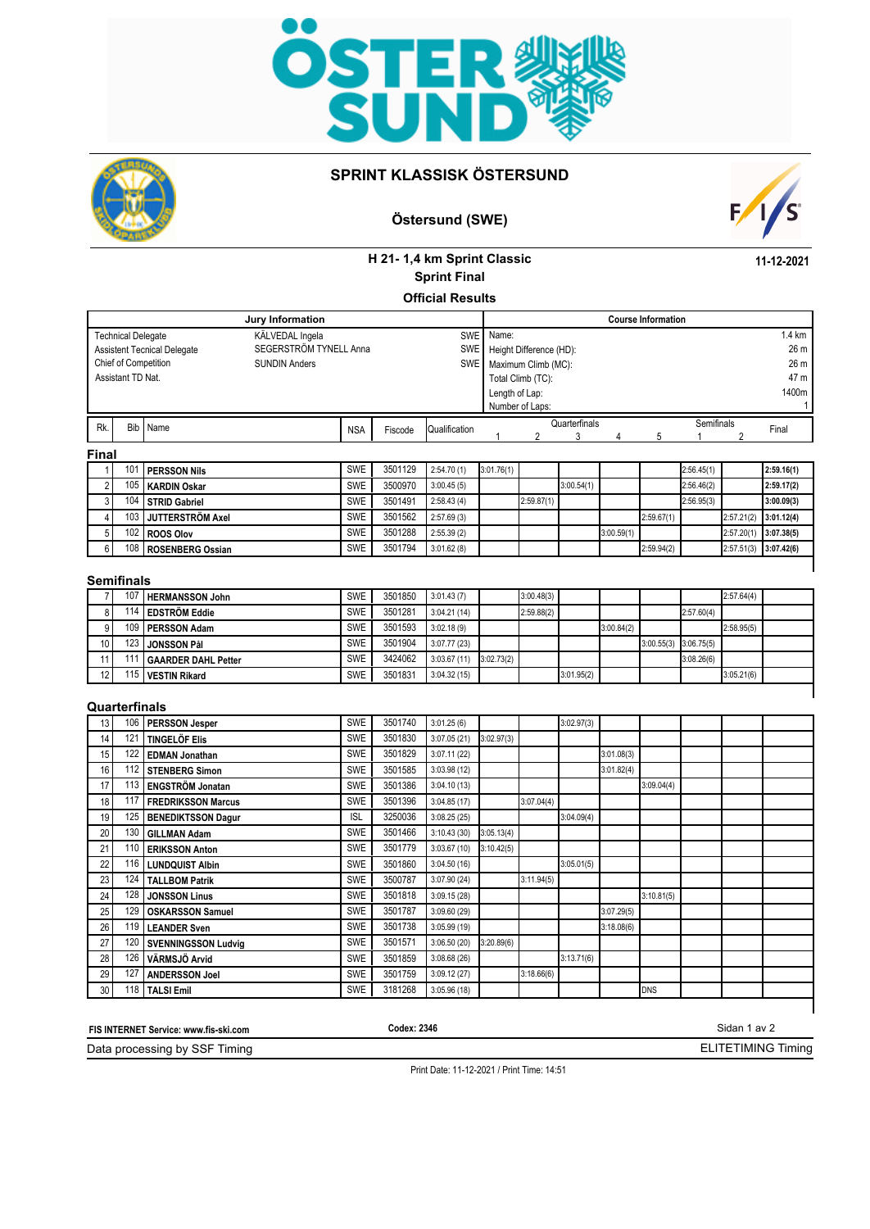



### **SPRINT KLASSISK ÖSTERSUND**

# **Östersund (SWE)**



**11-12-2021**

## **H 21- 1,4 km Sprint Classic Official Results Sprint Final**

|                | Jury Information          |  |                                    |                        |            |               |            |                | <b>Course Information</b> |            |            |            |            |            |                  |
|----------------|---------------------------|--|------------------------------------|------------------------|------------|---------------|------------|----------------|---------------------------|------------|------------|------------|------------|------------|------------------|
|                | <b>Technical Delegate</b> |  |                                    | KÄLVEDAL Ingela        |            |               | <b>SWE</b> | Name:          |                           |            |            |            |            |            | $1.4 \text{ km}$ |
|                |                           |  | <b>Assistent Tecnical Delegate</b> | SEGERSTRÖM TYNELL Anna |            | <b>SWE</b>    |            |                | Height Difference (HD):   |            |            |            |            |            | 26 m             |
|                |                           |  | Chief of Competition               | <b>SUNDIN Anders</b>   |            |               | <b>SWE</b> |                | Maximum Climb (MC):       |            |            |            |            |            | 26 m             |
|                | Assistant TD Nat.         |  |                                    |                        |            |               |            |                | Total Climb (TC):         |            |            |            |            |            | 47 m             |
|                |                           |  |                                    |                        |            |               |            | Length of Lap: |                           |            |            |            |            |            | 1400m            |
|                |                           |  |                                    |                        |            |               |            |                | Number of Laps:           |            |            |            |            |            |                  |
| Rk.            | Bib Name                  |  |                                    | <b>NSA</b>             | Fiscode    | Qualification |            | Quarterfinals  |                           |            |            | Semifinals |            | Final      |                  |
|                |                           |  |                                    |                        |            |               |            |                |                           |            |            | 5          |            |            |                  |
| <b>Final</b>   |                           |  |                                    |                        |            |               |            |                |                           |            |            |            |            |            |                  |
|                | 10 <sup>1</sup>           |  | <b>PERSSON Nils</b>                |                        | SWE        | 3501129       | 2:54.70(1) | 3:01.76(1)     |                           |            |            |            | 2:56.45(1) |            | 2:59.16(1)       |
| 2 <sub>1</sub> | 105                       |  | KARDIN Oskar                       |                        | <b>SWE</b> | 3500970       | 3:00.45(5) |                |                           | 3:00.54(1) |            |            | 2:56.46(2) |            | 2:59.17(2)       |
| 3              | 104                       |  | STRID Gabriel                      |                        | SWE        | 3501491       | 2:58.43(4) |                | 2:59.87(1)                |            |            |            | 2:56.95(3) |            | 3:00.09(3)       |
| $\frac{1}{2}$  | 103 <sub>1</sub>          |  | JUTTERSTRÖM Axel                   |                        | <b>SWE</b> | 3501562       | 2:57.69(3) |                |                           |            |            | 2:59.67(1) |            | 2:57.21(2) | 3:01.12(4)       |
| 5 <sup>1</sup> |                           |  | 102 ROOS Olov                      |                        | <b>SWE</b> | 3501288       | 2:55.39(2) |                |                           |            | 3:00.59(1) |            |            | 2:57.20(1) | 3:07.38(5)       |
| 6 <sup>1</sup> |                           |  | 108 ROSENBERG Ossian               |                        | <b>SWE</b> | 3501794       | 3:01.62(8) |                |                           |            |            | 2:59.94(2) |            | 2:57.51(3) | 3:07.42(6)       |

#### **Semifinals**

|                 | 107 | <b>HERMANSSON John</b>     | <b>SWE</b> | 3501850 | 3:01.43(7)  |            | 3:00.48(3) |            |            |                           |            | 2:57.64(4) |  |
|-----------------|-----|----------------------------|------------|---------|-------------|------------|------------|------------|------------|---------------------------|------------|------------|--|
| 8               | 14  | <b>EDSTRÖM Eddie</b>       | <b>SWE</b> | 3501281 | 3:04.21(14) |            | 2:59.88(2) |            |            |                           | 2:57.60(4) |            |  |
| a               | 109 | I PERSSON Adam             | <b>SWE</b> | 3501593 | 3:02.18(9)  |            |            |            | 3:00.84(2) |                           |            | 2:58.95(5) |  |
| 10 <sub>l</sub> | 123 | <b>JONSSON Pål</b>         | <b>SWE</b> | 3501904 | 3:07.77(23) |            |            |            |            | $3:00.55(3)$ $3:06.75(5)$ |            |            |  |
|                 |     | <b>GAARDER DAHL Petter</b> | <b>SWE</b> | 3424062 | 3:03.67(11) | 3:02.73(2) |            |            |            |                           | 3:08.26(6) |            |  |
| 12 <sub>1</sub> |     | 115   VESTIN Rikard        | <b>SWE</b> | 3501831 | 3:04.32(15) |            |            | 3:01.95(2) |            |                           |            | 3:05.21(6) |  |
|                 |     |                            |            |         |             |            |            |            |            |                           |            |            |  |

#### **Quarterfinals**

| 13 | 106 | PERSSON Jesper             | SWE        | 3501740 | 3:01.25(6)  |            |            | 3:02.97(3) |            |            |  |  |
|----|-----|----------------------------|------------|---------|-------------|------------|------------|------------|------------|------------|--|--|
| 14 | 121 | <b>TINGELÖF Elis</b>       | <b>SWE</b> | 3501830 | 3:07.05(21) | 3:02.97(3) |            |            |            |            |  |  |
| 15 | 122 | <b>EDMAN Jonathan</b>      | SWE        | 3501829 | 3:07.11(22) |            |            |            | 3:01.08(3) |            |  |  |
| 16 | 112 | STENBERG Simon             | <b>SWE</b> | 3501585 | 3:03.98(12) |            |            |            | 3:01.82(4) |            |  |  |
| 17 | 113 | <b>ENGSTRÖM Jonatan</b>    | <b>SWE</b> | 3501386 | 3:04.10(13) |            |            |            |            | 3:09.04(4) |  |  |
| 18 | 117 | <b>FREDRIKSSON Marcus</b>  | <b>SWE</b> | 3501396 | 3:04.85(17) |            | 3:07.04(4) |            |            |            |  |  |
| 19 | 125 | <b>BENEDIKTSSON Dagur</b>  | <b>ISL</b> | 3250036 | 3:08.25(25) |            |            | 3:04.09(4) |            |            |  |  |
| 20 | 130 | <b>GILLMAN Adam</b>        | <b>SWE</b> | 3501466 | 3:10.43(30) | 3:05.13(4) |            |            |            |            |  |  |
| 21 | 110 | <b>ERIKSSON Anton</b>      | <b>SWE</b> | 3501779 | 3:03.67(10) | 3:10.42(5) |            |            |            |            |  |  |
| 22 | 116 | <b>LUNDQUIST Albin</b>     | <b>SWE</b> | 3501860 | 3:04.50(16) |            |            | 3:05.01(5) |            |            |  |  |
| 23 | 124 | <b>TALLBOM Patrik</b>      | <b>SWE</b> | 3500787 | 3:07.90(24) |            | 3:11.94(5) |            |            |            |  |  |
| 24 | 128 | <b>JONSSON Linus</b>       | <b>SWE</b> | 3501818 | 3:09.15(28) |            |            |            |            | 3:10.81(5) |  |  |
| 25 | 129 | <b>OSKARSSON Samuel</b>    | <b>SWE</b> | 3501787 | 3:09.60(29) |            |            |            | 3:07.29(5) |            |  |  |
| 26 |     | 119   LEANDER Sven         | <b>SWE</b> | 3501738 | 3:05.99(19) |            |            |            | 3:18.08(6) |            |  |  |
| 27 | 120 | <b>SVENNINGSSON Ludvig</b> | <b>SWE</b> | 3501571 | 3:06.50(20) | 3:20.89(6) |            |            |            |            |  |  |
| 28 | 126 | VÄRMSJÖ Arvid              | <b>SWE</b> | 3501859 | 3:08.68(26) |            |            | 3:13.71(6) |            |            |  |  |
| 29 | 127 | <b>ANDERSSON Joel</b>      | SWE        | 3501759 | 3:09.12(27) |            | 3:18.66(6) |            |            |            |  |  |
| 30 | 118 | <b>TALSI Emil</b>          | SWE        | 3181268 | 3:05.96(18) |            |            |            |            | <b>DNS</b> |  |  |
|    |     |                            |            |         |             |            |            |            |            |            |  |  |

Sidan 1 av 2 Data processing by SSF Timing **FIS INTERNET Service: www.fis-ski.com** ELITETIMING Timing **Codex: 2346**

Print Date: 11-12-2021 / Print Time: 14:51